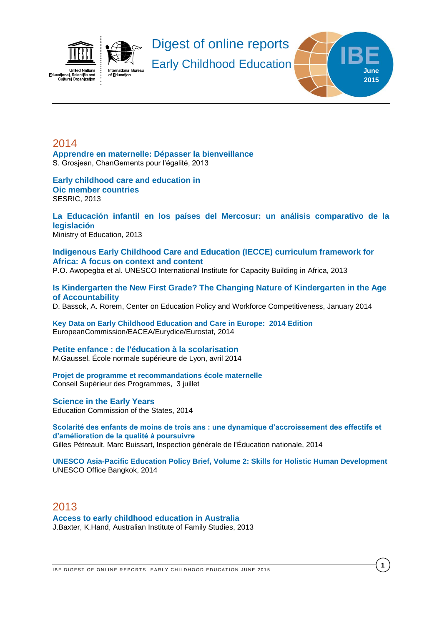

<span id="page-0-0"></span>**[Apprendre en maternelle: Dépasser la bienveillance](http://www.changement-egalite.be/IMG/pdf/Apprendre_en_Maternelle_.pdf)** S. Grosjean, ChanGements pour l'égalité, 2013

#### **[Early childhood care and education in](http://www.sesrtcic.org/files/article/475.pdf) [Oic member countries](http://www.sesrtcic.org/files/article/475.pdf)** SESRIC, 2013

#### **[La Educación infantil en los países del Mercosur: un análisis comparativo de la](http://unesdoc.unesco.org/images/0022/002270/227043s.pdf)  [legislació](http://unesdoc.unesco.org/images/0022/002270/227043s.pdf)n** Ministry of Education, 2013

**[Indigenous Early Childhood Care and Education \(IECCE\) curriculum framework for](http://unesdoc.unesco.org/images/0022/002292/229201e.pdf)  [Africa: A focus on context and content](http://unesdoc.unesco.org/images/0022/002292/229201e.pdf)**

P.O. Awopegba et al. UNESCO International Institute for Capacity Building in Africa, 2013

#### **[Is Kindergarten the New First Grade? The Changing Nature of Kindergarten in the Age](http://curry.virginia.edu/uploads/resourceLibrary/20_Bassok_Is_Kindergarten_The_New_First_Grade.pdf)  [of Accountability](http://curry.virginia.edu/uploads/resourceLibrary/20_Bassok_Is_Kindergarten_The_New_First_Grade.pdf)**

D. Bassok, A. Rorem, Center on Education Policy and Workforce Competitiveness, January 2014

**[Key Data on Early Childhood Education and Care in Europe: 2014 Edition](http://eacea.ec.europa.eu/education/eurydice/documents/key_data_series/166EN.pdf)** EuropeanCommission/EACEA/Eurydice/Eurostat, 2014

# **[Petite enfance : de l'éducation à la scolarisation](http://ife.ens-lyon.fr/vst/DA-Veille/92-avril-2014.pdf)**

M.Gaussel, École normale supérieure de Lyon, avril 2014

#### **[Projet de programme et recommandations école maternelle](http://cache.media.education.gouv.fr/file/Organismes/32/4/CSP-_Projet_de_programme-recommandations_337324.pdf)** Conseil Supérieur des Programmes, 3 juillet

#### **[Science in the Early](http://www.ecs.org/clearinghouse/01/12/88/11288.pdf) Years** Education Commission of the States, 2014

**[Scolarité des enfants de moins de trois ans : une dynamique d'accroissement des effectifs et](http://cache.media.education.gouv.fr/file/2014/11/3/2014-043_Scolarite_moins_de_3_ans_345113.pdf)  [d'amélioration de la qualité à poursuivre](http://cache.media.education.gouv.fr/file/2014/11/3/2014-043_Scolarite_moins_de_3_ans_345113.pdf)** Gilles Pétreault, Marc Buissart, Inspection générale de l'Éducation nationale, 2014

**[UNESCO Asia-Pacific Education Policy Brief, Volume 2: Skills for Holistic Human Development](http://www.unescobkk.org/fileadmin/user_upload/epr/PDF/Policy_Brief_Vol2-28_Nov.pdf)** UNESCO Office Bangkok, 2014

# 2013

**[Access to early childhood education in Australia](http://www.aifs.gov.au/institute/pubs/resreport24/rr24.pdf)** J.Baxter, K.Hand, Australian Institute of Family Studies, 2013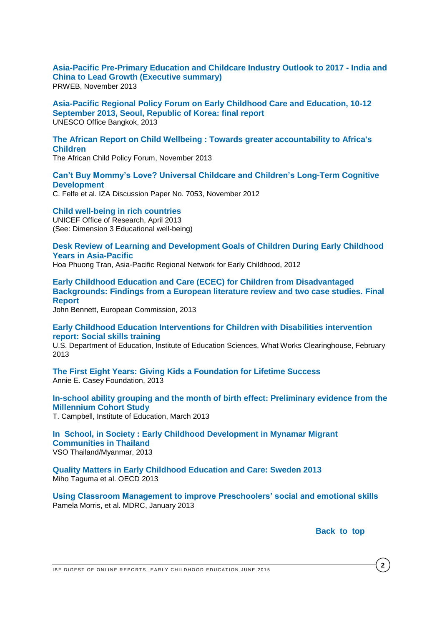**[Asia-Pacific Pre-Primary Education and Childcare Industry Outlook to 2017 -](http://www.prweb.com/releases/2013/11/prweb11354075.htm) India and [China to Lead Growth \(Executive summary\)](http://www.prweb.com/releases/2013/11/prweb11354075.htm)** PRWEB, November 2013

**[Asia-Pacific Regional Policy Forum on Early Childhood Care and Education, 10-12](http://unesdoc.unesco.org/images/0022/002253/225312e.pdf)  [September 2013, Seoul, Republic of Korea: final report](http://unesdoc.unesco.org/images/0022/002253/225312e.pdf)** UNESCO Office Bangkok, 2013

### **[The African Report on Child Wellbeing : Towards greater accountability to Africa's](https://app.box.com/s/gnd55soemkrk03wzgqi2)  [Children](https://app.box.com/s/gnd55soemkrk03wzgqi2)**

The African Child Policy Forum, November 2013

### **[Can't Buy Mommy's Love? Universal Childcare and Children's Long-Term Cognitive](http://ftp.iza.org/dp7053.pdf)  [Development](http://ftp.iza.org/dp7053.pdf)**

C. Felfe et al. IZA Discussion Paper No. 7053, November 2012

**[Child well-being in rich countries](http://www.unicef-irc.org/publications/pdf/rc11_eng.pdf)** UNICEF Office of Research, April 2013 (See: Dimension 3 Educational well-being)

**[Desk Review of Learning and Development Goals of Children During Early Childhood](http://www.arnec.net/ntuc/slot/u2323/publication/Desk%20Review%20Learning%20Goals_final.pdf)  [Years in Asia-Pacific](http://www.arnec.net/ntuc/slot/u2323/publication/Desk%20Review%20Learning%20Goals_final.pdf)**

Hoa Phuong Tran, Asia-Pacific Regional Network for Early Childhood, 2012

**[Early Childhood Education and Care \(ECEC\) for Children from Disadvantaged](http://ec.europa.eu/education/policy/school/doc/ecec-report_en.pdf)  [Backgrounds: Findings from a European literature review and two case studies. Final](http://ec.europa.eu/education/policy/school/doc/ecec-report_en.pdf)  [Report](http://ec.europa.eu/education/policy/school/doc/ecec-report_en.pdf)**

John Bennett, European Commission, 2013

**[Early Childhood Education Interventions for Children with Disabilities intervention](http://ies.ed.gov/ncee/wwc/pdf/intervention_reports/wwc_socialskills_020513.pdf)  [report: Social skills training](http://ies.ed.gov/ncee/wwc/pdf/intervention_reports/wwc_socialskills_020513.pdf)**

U.S. Department of Education, Institute of Education Sciences, What Works Clearinghouse, February 2013

**[The First Eight Years: Giving Kids a Foundation for Lifetime Success](http://www.aecf.org/~/media/Pubs/Initiatives/KIDS%20COUNT/F/FirstEightYears/AECFTheFirstEightYears2013.pdf)** Annie E. Casey Foundation, 2013

**[In-school ability grouping and the month of birth effect: Preliminary evidence from the](http://www.cls.ioe.ac.uk/news.aspx?itemid=2539&itemTitle=Ability+grouping+in+primary+school+may+reinforce+disadvantage+of+summer-born+children%2c+study+finds&sitesectionid=905&sitesectiontitle=Press+Releases&returnlink=news.aspx%3fsitesectionid%3d905%26sitesectiontitle%3dPress%2bReleases%26from%3d01%2f03%2f2013%26to%3d01%2f04%2f2013%26range%3dMarch%25202013)  [Millennium Cohort Study](http://www.cls.ioe.ac.uk/news.aspx?itemid=2539&itemTitle=Ability+grouping+in+primary+school+may+reinforce+disadvantage+of+summer-born+children%2c+study+finds&sitesectionid=905&sitesectiontitle=Press+Releases&returnlink=news.aspx%3fsitesectionid%3d905%26sitesectiontitle%3dPress%2bReleases%26from%3d01%2f03%2f2013%26to%3d01%2f04%2f2013%26range%3dMarch%25202013)**

T. Campbell, Institute of Education, March 2013

**[In School, in Society : Early Childhood](http://www.vsointernational.org/Images/in-school-in-society-early-childhood-development-in-myanmar-migrant-communities-in-thailand_tcm76-39034.pdf) Development in Mynamar Migrant [Communities in Thailand](http://www.vsointernational.org/Images/in-school-in-society-early-childhood-development-in-myanmar-migrant-communities-in-thailand_tcm76-39034.pdf)** VSO Thailand/Myanmar, 2013

**[Quality Matters in Early Childhood Education and Care: Sweden 2013](http://www.oecd.org/edu/school/SWEDEN%20policy%20profile%20-%20published%2005-02-2013.pdf)** Miho Taguma et al. OECD 2013

**[Using Classroom Management to improve Preschoolers' social and emotional skills](http://www.mdrc.org/using-classroom-management-improve-preschoolers%E2%80%99-social-and-emotional-skills)** Pamela Morris, et al. MDRC, January 2013

Back to top

IBE DIGEST OF ONLINE REPORTS: EARLY CHILDHOOD EDUCATION JUNE 2015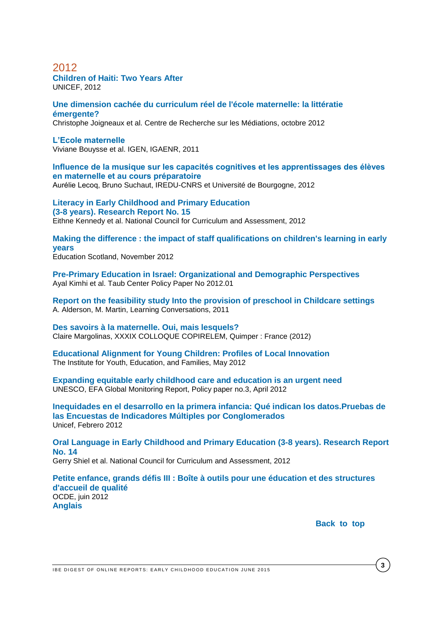#### **[Children of Haiti:](http://www.unicef.org/french/infobycountry/files/2yearsReport.pdf) Two Years After** UNICEF, 2012

#### **[Une dimension cachée du curriculum réel de l'école maternelle: la littératie](http://hal.archives-ouvertes.fr/docs/00/73/86/56/PDF/JOIGNEAUX_LAPARRA_MARGOLINAS_COLLOQ_SOCIODIDAC_def.pdf)  [émergente?](http://hal.archives-ouvertes.fr/docs/00/73/86/56/PDF/JOIGNEAUX_LAPARRA_MARGOLINAS_COLLOQ_SOCIODIDAC_def.pdf)**

Christophe Joigneaux et al. Centre de Recherche sur les Médiations, octobre 2012

#### **[L'Ecole maternelle](http://media.education.gouv.fr/file/2011/54/5/2011-108-IGEN-IGAENR_215545.pdf)**

Viviane Bouysse et al. IGEN, IGAENR, 2011

# **[Influence de la musique sur les capacités cognitives et les apprentissages des élèves](http://www.cndp.fr/crdp-dijon/librairie/bonnes_feuilles/experimentation-musique-GS-74.pdf)  [en maternelle et au cours préparatoire](http://www.cndp.fr/crdp-dijon/librairie/bonnes_feuilles/experimentation-musique-GS-74.pdf)**

Aurélie Lecoq, Bruno Suchaut, IREDU-CNRS et Université de Bourgogne, 2012

**[Literacy in Early Childhood](http://www.ncca.ie/en/Curriculum_and_Assessment/Early_Childhood_and_Primary_Education/Primary_School_Curriculum/Language_Curriculum_Research_Reports_/litreport.pdf) and Primary Education [\(3-8 years\). Research Report No. 15](http://www.ncca.ie/en/Curriculum_and_Assessment/Early_Childhood_and_Primary_Education/Primary_School_Curriculum/Language_Curriculum_Research_Reports_/litreport.pdf)** Eithne Kennedy et al. National Council for Curriculum and Assessment, 2012

**[Making the difference : the impact of staff qualifications on children's learning in early](http://www.educationscotland.gov.uk/inspectionandreview/Images/Making%20the%20Difference_tcm4-735922.pdf)  [years](http://www.educationscotland.gov.uk/inspectionandreview/Images/Making%20the%20Difference_tcm4-735922.pdf)** Education Scotland, November 2012

**[Pre-Primary Education in Israel: Organizational and Demographic Perspectives](http://taubcenter.org.il/wp-content/files_mf/preprimaryeducationinisraelorganizationalanddemographicperspectives52.pdf)** Ayal Kimhi et al. Taub Center Policy Paper No 2012.01

**[Report on the feasibility study Into the provision of preschool in Childcare settings](http://www.det.wa.edu.au/curriculumsupport/earlychildhood/detcms/school-support-programs/early-childhood-education/news/report-on-the-feasibility-study-into-the-provision-of-preschool-in-childcare-settings.en?oid=NewsItem-id-13234859)** A. Alderson, M. Martin, Learning Conversations, 2011

**[Des savoirs à la maternelle. Oui, mais lesquels?](http://hal.archives-ouvertes.fr/hal-00744279)** Claire Margolinas, XXXIX COLLOQUE COPIRELEM, Quimper : France (2012)

**[Educational Alignment for Young Children: Profiles of Local Innovation](http://www.childcarecanada.org/documents/research-policy-practice/12/05/educational-alignment-young-children-profiles-local-innovat)** The Institute for Youth, Education, and Families, May 2012

**[Expanding equitable early childhood care and education is an urgent need](http://unesdoc.unesco.org/images/0021/002160/216038e.pdf)** UNESCO, EFA Global Monitoring Report, Policy paper no.3, April 2012

**[Inequidades en el desarrollo en la primera infancia: Qué indican los datos.Pruebas de](http://www.unicef.org/spanish/publications/files/Inequities_in_Early_Childhood_Development_SP_03232012.pdf)  las Encuestas de Indicadores [Múltiples por Conglomerados](http://www.unicef.org/spanish/publications/files/Inequities_in_Early_Childhood_Development_SP_03232012.pdf)** Unicef, Febrero 2012

**[Oral Language in Early Childhood and Primary Education \(3-8 years\). Research Report](http://www.ncca.ie/en/Curriculum_and_Assessment/Early_Childhood_and_Primary_Education/Primary_School_Curriculum/Language_Curriculum_Research_Reports_/orallangreport.pdf)  [No. 14](http://www.ncca.ie/en/Curriculum_and_Assessment/Early_Childhood_and_Primary_Education/Primary_School_Curriculum/Language_Curriculum_Research_Reports_/orallangreport.pdf)**

Gerry Shiel et al. National Council for Curriculum and Assessment, 2012

**[Petite enfance, grands défis III : Boîte à outils pour une éducation et des structures](http://www.oecd-ilibrary.org/education/petite-enfance-grands-defis-iii_9789264167025-fr)  [d'accueil de qualité](http://www.oecd-ilibrary.org/education/petite-enfance-grands-defis-iii_9789264167025-fr)** OCDE, juin 2012 **[Anglais](http://www.oecd-ilibrary.org/education/starting-strong-iii_9789264123564-en;jsessionid=4o28t047pdrdi.delta)**

Back to top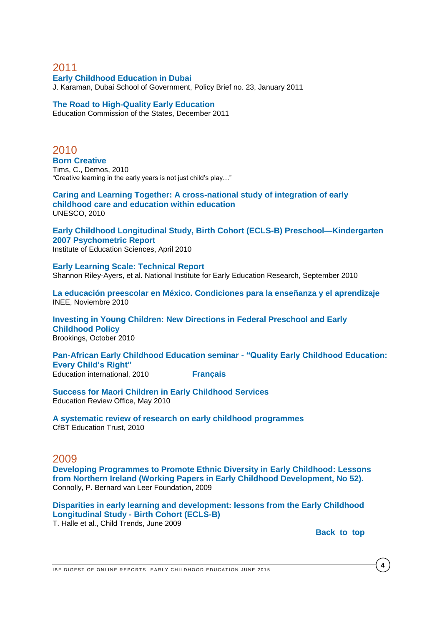**[Early Childhood Education in Dubai](http://childcarecanada.org/documents/research-policy-practice/11/06/early-childhood-education-dubai)** J. Karaman, Dubai School of Government, Policy Brief no. 23, January 2011

#### **[The Road to High-Quality Early Education](http://www.ecs.org/clearinghouse/99/71/9971.pdf)**

Education Commission of the States, December 2011

2010 **[Born Creative](http://www.demos.co.uk/files/Born_Creative_-_web_-_final.pdf?1289392179)** Tims, C., Demos, 2010 "Creative learning in the early years is not just child's play…"

**[Caring and Learning Together: A cross-national study](http://unesdoc.unesco.org/images/0018/001878/187818e.pdf) of integration of early [childhood care and education within education](http://unesdoc.unesco.org/images/0018/001878/187818e.pdf)** UNESCO, 2010

**[Early Childhood Longitudinal Study, Birth Cohort \(ECLS-B\) Preschool—Kindergarten](http://nces.ed.gov/pubs2010/2010009.pdf)  [2007 Psychometric Report](http://nces.ed.gov/pubs2010/2010009.pdf)** Institute of Education Sciences, April 2010

**[Early Learning Scale: Technical Report](http://nieer.org/pdf/Early_learning_scale_tech_report_Sept_2010.pdf)** Shannon Riley-Ayers, et al. National Institute for Early Education Research, September 2010

**[La educación preescolar en México. Condiciones para la enseñanza y el aprendizaje](http://fr.scribd.com/doc/59393764/La-Educacion-Preescolar-en-Mexico-Condiciones-para-la-ensenanza-y-el-aprendizaje)** INEE, Noviembre 2010

**[Investing in Young Children: New Directions in Federal Preschool and Early](http://www.brookings.edu/reports/2010/1013_investing_in_young_children_haskins.aspx)  [Childhood Policy](http://www.brookings.edu/reports/2010/1013_investing_in_young_children_haskins.aspx)** Brookings, October 2010

**[Pan-African Early Childhood Education seminar -](http://download.ei-ie.org/Docs/WebDepot/Seminar%20Accra.pdf) "Quality Early Childhood Education: [Every Child's Right"](http://download.ei-ie.org/Docs/WebDepot/Seminar%20Accra.pdf)** Education international, 2010 **[Français](http://download.ei-ie.org/Docs/WebDepot/Seminaire%20Panafricain%20FR.PDF)**

**[Success for Maori Children in Early Childhood Services](http://www.ero.govt.nz/National-Reports/Success-for-Maori-Children-in-Early-Childhood-Services-May-2010)**

Education Review Office, May 2010

**[A systematic review of research on early childhood programmes](http://www.cfbt.com/evidenceforeducation/our_research/evidence_for_schools/pupil_groups/early_childhood_programmes.aspx)** CfBT Education Trust, 2010

### 2009

**[Developing Programmes to Promote Ethnic Diversity in Early Childhood: Lessons](http://www.bernardvanleer.org/publication_store/publication_store_publications/developing_programmes_to_promote_ethnic_diversity_in_early_childhood_lessons_from_northern_ireland/file)  [from Northern Ireland \(Working Papers in Early Childhood Development, No 52\).](http://www.bernardvanleer.org/publication_store/publication_store_publications/developing_programmes_to_promote_ethnic_diversity_in_early_childhood_lessons_from_northern_ireland/file)** Connolly, P. Bernard van Leer Foundation, 2009

**[Disparities in early learning and development: lessons from the Early Childhood](http://www.elcmdm.org/Knowledge%20Center/reports/Child_Trends-2009_07_10_FR_DisparitiesEL.pdf)  Longitudinal Study - [Birth Cohort \(ECLS-B\)](http://www.elcmdm.org/Knowledge%20Center/reports/Child_Trends-2009_07_10_FR_DisparitiesEL.pdf)**

T. Halle et al., Child Trends, June 2009

Back to top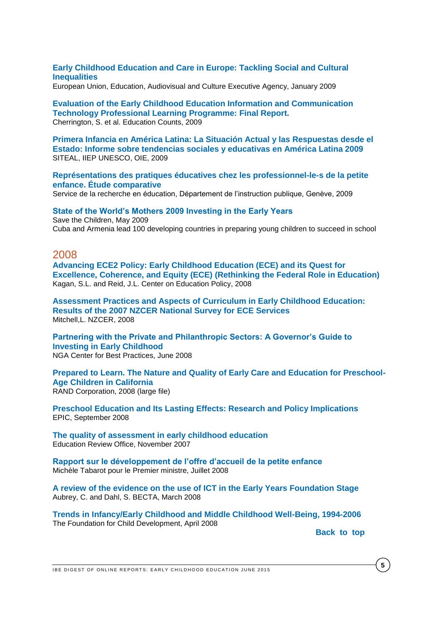### **[Early Childhood Education and Care in Europe: Tackling Social and Cultural](http://europa.eu/rapid/pressReleasesAction.do?reference=MEMO/09/66&format=HTML&aged=1&language=EN&guiLanguage=en)  [Inequalities](http://europa.eu/rapid/pressReleasesAction.do?reference=MEMO/09/66&format=HTML&aged=1&language=EN&guiLanguage=en)**

European Union, Education, Audiovisual and Culture Executive Agency, January 2009

#### **[Evaluation of the Early Childhood Education Information and Communication](http://www.educationcounts.govt.nz/publications/ict/41987)  [Technology Professional Learning Programme: Final Report.](http://www.educationcounts.govt.nz/publications/ict/41987)** Cherrington, S. et al. Education Counts, 2009

**[Primera Infancia en América Latina: La Situación Actual y las Respuestas desde el](http://unesdoc.unesco.org/images/0018/001863/186328s.pdf)  [Estado: Informe sobre tendencias sociales y educativas en América Latina 2009](http://unesdoc.unesco.org/images/0018/001863/186328s.pdf)** SITEAL, IIEP UNESCO, OIE, 2009

#### **[Représentations des pratiques éducatives chez les professionnel-le-s de la petite](http://www.ge.ch/recherche-education/doc/publications/docsred/2009/rep-pratic-educative.pdf)  [enfance. Étude comparative](http://www.ge.ch/recherche-education/doc/publications/docsred/2009/rep-pratic-educative.pdf)**

Service de la recherche en éducation, Département de l'instruction publique, Genève, 2009

## **[State of the World's Mothers 2009 Investing in the Early Years](http://www.barnaheill.is/media/PDF/sky2009.pdf)** Save the Children, May 2009

Cuba and Armenia lead 100 developing countries in preparing young children to succeed in school

### 2008

**[Advancing ECE2 Policy: Early Childhood Education \(ECE\) and its Quest for](http://ccf.tc.columbia.edu/pdf/American%20ECE%20Policy%20Final%202.10.09.pdf)  [Excellence, Coherence, and Equity \(ECE\) \(Rethinking the Federal Role in Education\)](http://ccf.tc.columbia.edu/pdf/American%20ECE%20Policy%20Final%202.10.09.pdf)** Kagan, S.L. and Reid, J.L. Center on Education Policy, 2008

**[Assessment Practices and Aspects of Curriculum in Early Childhood Education:](http://www.nzcer.org.nz/system/files/16544.pdf)  [Results of the 2007 NZCER National Survey for ECE Services](http://www.nzcer.org.nz/system/files/16544.pdf)** Mitchell,L. NZCER, 2008

**[Partnering with the Private and Philanthropic Sectors: A Governor's Guide to](http://www.nga.org/cms/home/nga-center-for-best-practices/center-publications/page-edu-publications/col2-content/main-content-list/partnering-with-the-private-and.html)  [Investing in Early Childhood](http://www.nga.org/cms/home/nga-center-for-best-practices/center-publications/page-edu-publications/col2-content/main-content-list/partnering-with-the-private-and.html)** NGA Center for Best Practices, June 2008

#### **[Prepared to Learn. The Nature and Quality of Early Care and Education for Preschool-](http://www.rand.org/pubs/technical_reports/2008/RAND_TR539.pdf)[Age Children in California](http://www.rand.org/pubs/technical_reports/2008/RAND_TR539.pdf)** RAND Corporation, 2008 (large file)

**[Preschool Education and Its Lasting Effects: Research and Policy Implications](http://epicpolicy.org/files/PB-Barnett-EARLY-ED_FINAL.pdf)** EPIC, September 2008

**[The quality of assessment in early childhood education](http://www.ero.govt.nz/National-Reports/The-Quality-of-Assessment-in-Early-Childhood-Education-November-2007)** Education Review Office, November 2007

**[Rapport sur le développement de l'offre d'accueil de la petite enfance](http://www.mediapart.fr/files/S%C3%A9bastien%20Rome/Rapport_Tabarot.pdf)** Michèle Tabarot pour le Premier ministre, Juillet 2008

**[A review of the evidence on the use of ICT in the Early Years Foundation Stage](http://dera.ioe.ac.uk/id/eprint/1631)** Aubrey, C. and Dahl, S. BECTA, March 2008

**[Trends in Infancy/Early Childhood and Middle Childhood Well-Being, 1994-2006](http://www.soc.duke.edu/~cwi/03-25-08EarlyChildhoodWell-BeingReport-Final.pdf)** The Foundation for Child Development, April 2008

**Back** to top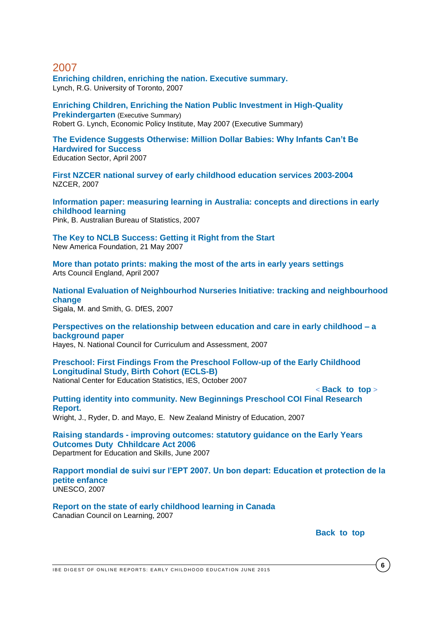**[Enriching children, enriching the nation. Executive summary.](http://www.epi.org/publication/book_enriching/)** Lynch, R.G. University of Toronto, 2007

**[Enriching Children, Enriching the Nation Public Investment in High-Quality](http://www.epi.org/content.cfm/book_enriching)  [Prekindergarten](http://www.epi.org/content.cfm/book_enriching)** (Executive Summary) Robert G. Lynch, Economic Policy Institute, May 2007 (Executive Summary)

**[The Evidence Suggests Otherwise: Million Dollar Babies:](http://www.educationsector.org/usr_doc/Million_Dollar_Babies.pdf) Why Infants Can't Be [Hardwired for Success](http://www.educationsector.org/usr_doc/Million_Dollar_Babies.pdf)** Education Sector, April 2007

**[First NZCER national survey of early childhood education services 2003-2004](http://www.nzcer.org.nz/default.php?products_id=1858)** NZCER, 2007

**[Information paper: measuring learning in Australia: concepts and directions in early](http://www.ausstats.abs.gov.au/ausstats/subscriber.nsf/0/E81048569CB6D4F6CA2573B6001F7CB3/$File/42320_2007.pdf)  [childhood learning](http://www.ausstats.abs.gov.au/ausstats/subscriber.nsf/0/E81048569CB6D4F6CA2573B6001F7CB3/$File/42320_2007.pdf)**

Pink, B. Australian Bureau of Statistics, 2007

**[The Key to NCLB Success: Getting it Right from the Start](http://www.newamerica.net/files/IBPK3NCLBSuccess.pdf)** New America Foundation, 21 May 2007

**[More than potato prints: making the most of the arts in early years settings](http://www.artscouncil.org.uk/publication_archive/more-than-potato-prints-making-the-most-of-the-arts-in-early-years-settings/)** Arts Council England, April 2007

**[National Evaluation of Neighbourhod Nurseries Initiative: tracking and neighbourhood](http://dera.ioe.ac.uk/7118/)  [change](http://dera.ioe.ac.uk/7118/)** Sigala, M. and Smith, G. DfES, 2007

**[Perspectives on the relationship between education and care in early childhood –](http://www.ncca.ie/uploadedfiles/ecpe/education%20and%20care.pdf) a [background paper](http://www.ncca.ie/uploadedfiles/ecpe/education%20and%20care.pdf)**

Hayes, N. National Council for Curriculum and Assessment, 2007

**[Preschool: First Findings From the Preschool Follow-up of the Early Childhood](http://www.nces.ed.gov/pubsearch/pubsinfo.asp?pubid=2008025)  [Longitudinal Study, Birth Cohort \(ECLS-B\)](http://www.nces.ed.gov/pubsearch/pubsinfo.asp?pubid=2008025)** National Center for Education Statistics, IES, October 2007

**Putting [identity into community. New Beginnings Preschool COI Final Research](http://www.educationcounts.govt.nz/publications/ECE/22551/22559)  [Report.](http://www.educationcounts.govt.nz/publications/ECE/22551/22559)**  Wright, J., Ryder, D. and Mayo, E. New Zealand Ministry of Education, 2007

**Raising standards - [improving outcomes: statutory guidance on the Early Years](http://dera.ioe.ac.uk/6889/5/Raising%20Standards%20-%20Improving%20Outcomes%20-%2003%20Dec.pdf)  [Outcomes Duty Chhildcare Act 2006](http://dera.ioe.ac.uk/6889/5/Raising%20Standards%20-%20Improving%20Outcomes%20-%2003%20Dec.pdf)** Department for Education and Skills, June 2007

**Rapport [mondial de suivi sur l'EPT 2007. Un bon depart: Education et protection de la](http://unesdoc.unesco.org/images/0015/001500/150022F.pdf)  [petite enfance](http://unesdoc.unesco.org/images/0015/001500/150022F.pdf)** UNESCO, 2007

**[Report on the state of early childhood learning in Canada](http://www.nald.ca/library/research/ccl/childhood_learning/report_state/report_state.pdf)** Canadian Council on Learning, 2007

**Back** to top

< **[Back\\_to\\_top](#page-0-0)** >